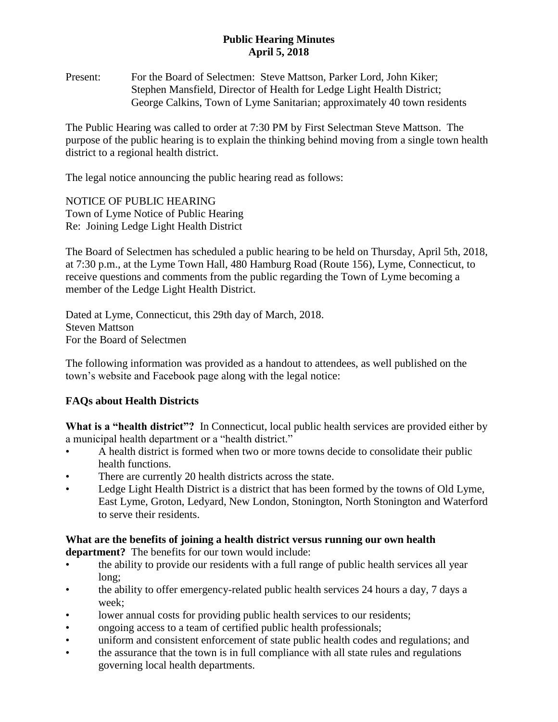## **Public Hearing Minutes April 5, 2018**

Present: For the Board of Selectmen: Steve Mattson, Parker Lord, John Kiker; Stephen Mansfield, Director of Health for Ledge Light Health District; George Calkins, Town of Lyme Sanitarian; approximately 40 town residents

The Public Hearing was called to order at 7:30 PM by First Selectman Steve Mattson. The purpose of the public hearing is to explain the thinking behind moving from a single town health district to a regional health district.

The legal notice announcing the public hearing read as follows:

NOTICE OF PUBLIC HEARING Town of Lyme Notice of Public Hearing Re: Joining Ledge Light Health District

The Board of Selectmen has scheduled a public hearing to be held on Thursday, April 5th, 2018, at 7:30 p.m., at the Lyme Town Hall, 480 Hamburg Road (Route 156), Lyme, Connecticut, to receive questions and comments from the public regarding the Town of Lyme becoming a member of the Ledge Light Health District.

Dated at Lyme, Connecticut, this 29th day of March, 2018. Steven Mattson For the Board of Selectmen

The following information was provided as a handout to attendees, as well published on the town's website and Facebook page along with the legal notice:

## **FAQs about Health Districts**

What is a "health district"? In Connecticut, local public health services are provided either by a municipal health department or a "health district."

- A health district is formed when two or more towns decide to consolidate their public health functions.
- There are currently 20 health districts across the state.
- Ledge Light Health District is a district that has been formed by the towns of Old Lyme, East Lyme, Groton, Ledyard, New London, Stonington, North Stonington and Waterford to serve their residents.

## **What are the benefits of joining a health district versus running our own health department?** The benefits for our town would include:

- the ability to provide our residents with a full range of public health services all year long;
- the ability to offer emergency-related public health services 24 hours a day, 7 days a week;
- lower annual costs for providing public health services to our residents;
- ongoing access to a team of certified public health professionals;
- uniform and consistent enforcement of state public health codes and regulations; and
- the assurance that the town is in full compliance with all state rules and regulations governing local health departments.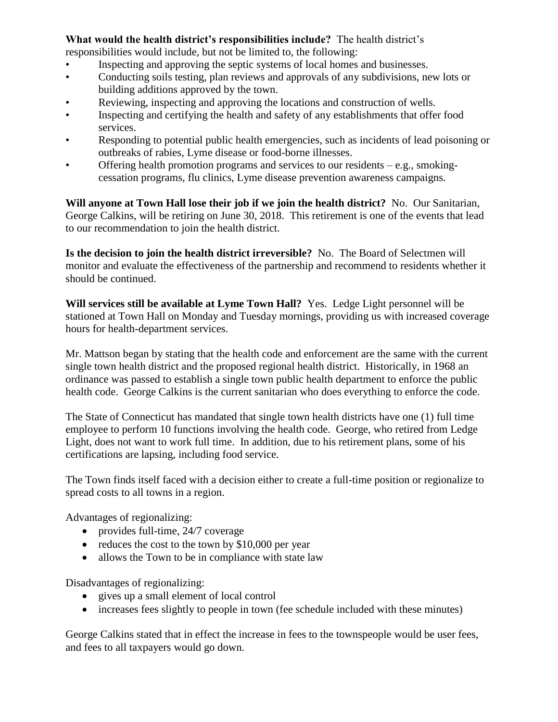## **What would the health district's responsibilities include?** The health district's

responsibilities would include, but not be limited to, the following:

- Inspecting and approving the septic systems of local homes and businesses.
- Conducting soils testing, plan reviews and approvals of any subdivisions, new lots or building additions approved by the town.
- Reviewing, inspecting and approving the locations and construction of wells.
- Inspecting and certifying the health and safety of any establishments that offer food services.
- Responding to potential public health emergencies, such as incidents of lead poisoning or outbreaks of rabies, Lyme disease or food-borne illnesses.
- Offering health promotion programs and services to our residents  $-e.g.,$  smokingcessation programs, flu clinics, Lyme disease prevention awareness campaigns.

**Will anyone at Town Hall lose their job if we join the health district?** No. Our Sanitarian, George Calkins, will be retiring on June 30, 2018. This retirement is one of the events that lead to our recommendation to join the health district.

**Is the decision to join the health district irreversible?** No. The Board of Selectmen will monitor and evaluate the effectiveness of the partnership and recommend to residents whether it should be continued.

**Will services still be available at Lyme Town Hall?** Yes. Ledge Light personnel will be stationed at Town Hall on Monday and Tuesday mornings, providing us with increased coverage hours for health-department services.

Mr. Mattson began by stating that the health code and enforcement are the same with the current single town health district and the proposed regional health district. Historically, in 1968 an ordinance was passed to establish a single town public health department to enforce the public health code. George Calkins is the current sanitarian who does everything to enforce the code.

The State of Connecticut has mandated that single town health districts have one (1) full time employee to perform 10 functions involving the health code. George, who retired from Ledge Light, does not want to work full time. In addition, due to his retirement plans, some of his certifications are lapsing, including food service.

The Town finds itself faced with a decision either to create a full-time position or regionalize to spread costs to all towns in a region.

Advantages of regionalizing:

- provides full-time, 24/7 coverage
- reduces the cost to the town by \$10,000 per year
- allows the Town to be in compliance with state law

Disadvantages of regionalizing:

- gives up a small element of local control
- increases fees slightly to people in town (fee schedule included with these minutes)

George Calkins stated that in effect the increase in fees to the townspeople would be user fees, and fees to all taxpayers would go down.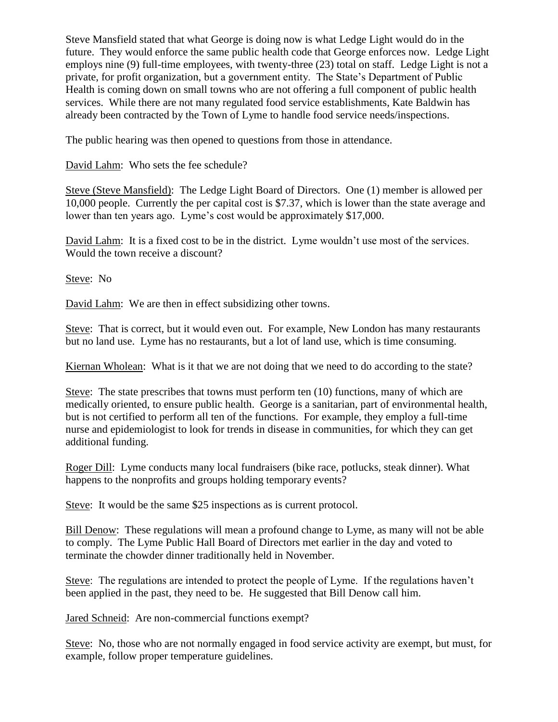Steve Mansfield stated that what George is doing now is what Ledge Light would do in the future. They would enforce the same public health code that George enforces now. Ledge Light employs nine (9) full-time employees, with twenty-three (23) total on staff. Ledge Light is not a private, for profit organization, but a government entity. The State's Department of Public Health is coming down on small towns who are not offering a full component of public health services. While there are not many regulated food service establishments, Kate Baldwin has already been contracted by the Town of Lyme to handle food service needs/inspections.

The public hearing was then opened to questions from those in attendance.

David Lahm: Who sets the fee schedule?

Steve (Steve Mansfield): The Ledge Light Board of Directors. One (1) member is allowed per 10,000 people. Currently the per capital cost is \$7.37, which is lower than the state average and lower than ten years ago. Lyme's cost would be approximately \$17,000.

David Lahm: It is a fixed cost to be in the district. Lyme wouldn't use most of the services. Would the town receive a discount?

Steve: No

David Lahm: We are then in effect subsidizing other towns.

Steve: That is correct, but it would even out. For example, New London has many restaurants but no land use. Lyme has no restaurants, but a lot of land use, which is time consuming.

Kiernan Wholean: What is it that we are not doing that we need to do according to the state?

Steve: The state prescribes that towns must perform ten (10) functions, many of which are medically oriented, to ensure public health. George is a sanitarian, part of environmental health, but is not certified to perform all ten of the functions. For example, they employ a full-time nurse and epidemiologist to look for trends in disease in communities, for which they can get additional funding.

Roger Dill: Lyme conducts many local fundraisers (bike race, potlucks, steak dinner). What happens to the nonprofits and groups holding temporary events?

Steve: It would be the same \$25 inspections as is current protocol.

Bill Denow: These regulations will mean a profound change to Lyme, as many will not be able to comply. The Lyme Public Hall Board of Directors met earlier in the day and voted to terminate the chowder dinner traditionally held in November.

Steve: The regulations are intended to protect the people of Lyme. If the regulations haven't been applied in the past, they need to be. He suggested that Bill Denow call him.

Jared Schneid: Are non-commercial functions exempt?

Steve: No, those who are not normally engaged in food service activity are exempt, but must, for example, follow proper temperature guidelines.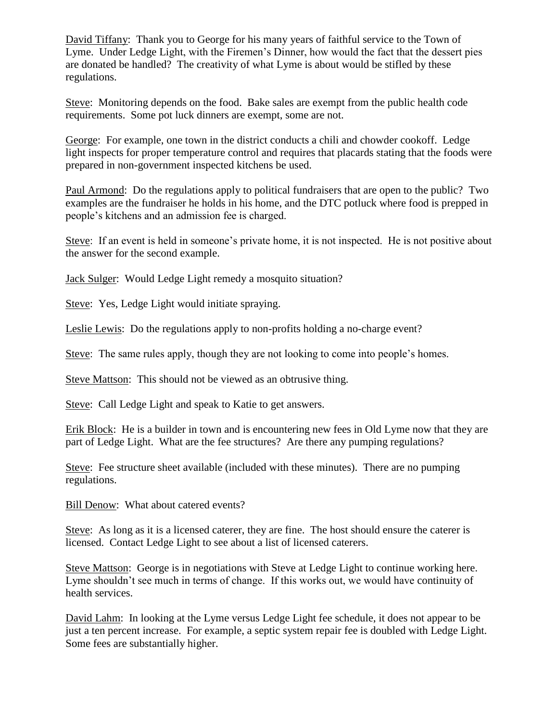David Tiffany: Thank you to George for his many years of faithful service to the Town of Lyme. Under Ledge Light, with the Firemen's Dinner, how would the fact that the dessert pies are donated be handled? The creativity of what Lyme is about would be stifled by these regulations.

Steve: Monitoring depends on the food. Bake sales are exempt from the public health code requirements. Some pot luck dinners are exempt, some are not.

George: For example, one town in the district conducts a chili and chowder cookoff. Ledge light inspects for proper temperature control and requires that placards stating that the foods were prepared in non-government inspected kitchens be used.

Paul Armond: Do the regulations apply to political fundraisers that are open to the public? Two examples are the fundraiser he holds in his home, and the DTC potluck where food is prepped in people's kitchens and an admission fee is charged.

Steve: If an event is held in someone's private home, it is not inspected. He is not positive about the answer for the second example.

Jack Sulger: Would Ledge Light remedy a mosquito situation?

Steve: Yes, Ledge Light would initiate spraying.

Leslie Lewis: Do the regulations apply to non-profits holding a no-charge event?

Steve: The same rules apply, though they are not looking to come into people's homes.

Steve Mattson: This should not be viewed as an obtrusive thing.

Steve: Call Ledge Light and speak to Katie to get answers.

Erik Block: He is a builder in town and is encountering new fees in Old Lyme now that they are part of Ledge Light. What are the fee structures? Are there any pumping regulations?

Steve: Fee structure sheet available (included with these minutes). There are no pumping regulations.

Bill Denow: What about catered events?

Steve: As long as it is a licensed caterer, they are fine. The host should ensure the caterer is licensed. Contact Ledge Light to see about a list of licensed caterers.

Steve Mattson: George is in negotiations with Steve at Ledge Light to continue working here. Lyme shouldn't see much in terms of change. If this works out, we would have continuity of health services.

David Lahm: In looking at the Lyme versus Ledge Light fee schedule, it does not appear to be just a ten percent increase. For example, a septic system repair fee is doubled with Ledge Light. Some fees are substantially higher.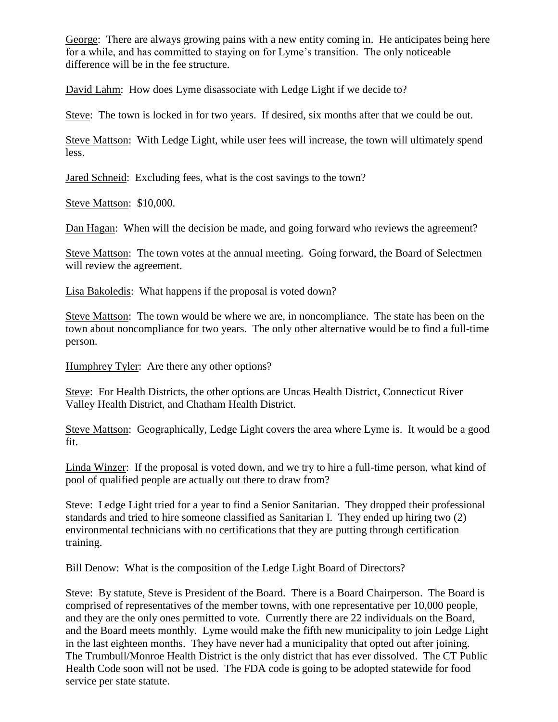George: There are always growing pains with a new entity coming in. He anticipates being here for a while, and has committed to staying on for Lyme's transition. The only noticeable difference will be in the fee structure.

David Lahm: How does Lyme disassociate with Ledge Light if we decide to?

Steve: The town is locked in for two years. If desired, six months after that we could be out.

Steve Mattson: With Ledge Light, while user fees will increase, the town will ultimately spend less.

Jared Schneid: Excluding fees, what is the cost savings to the town?

Steve Mattson: \$10,000.

Dan Hagan: When will the decision be made, and going forward who reviews the agreement?

Steve Mattson: The town votes at the annual meeting. Going forward, the Board of Selectmen will review the agreement.

Lisa Bakoledis: What happens if the proposal is voted down?

Steve Mattson: The town would be where we are, in noncompliance. The state has been on the town about noncompliance for two years. The only other alternative would be to find a full-time person.

Humphrey Tyler: Are there any other options?

Steve: For Health Districts, the other options are Uncas Health District, Connecticut River Valley Health District, and Chatham Health District.

Steve Mattson: Geographically, Ledge Light covers the area where Lyme is. It would be a good fit.

Linda Winzer: If the proposal is voted down, and we try to hire a full-time person, what kind of pool of qualified people are actually out there to draw from?

Steve: Ledge Light tried for a year to find a Senior Sanitarian. They dropped their professional standards and tried to hire someone classified as Sanitarian I. They ended up hiring two (2) environmental technicians with no certifications that they are putting through certification training.

Bill Denow: What is the composition of the Ledge Light Board of Directors?

Steve: By statute, Steve is President of the Board. There is a Board Chairperson. The Board is comprised of representatives of the member towns, with one representative per 10,000 people, and they are the only ones permitted to vote. Currently there are 22 individuals on the Board, and the Board meets monthly. Lyme would make the fifth new municipality to join Ledge Light in the last eighteen months. They have never had a municipality that opted out after joining. The Trumbull/Monroe Health District is the only district that has ever dissolved. The CT Public Health Code soon will not be used. The FDA code is going to be adopted statewide for food service per state statute.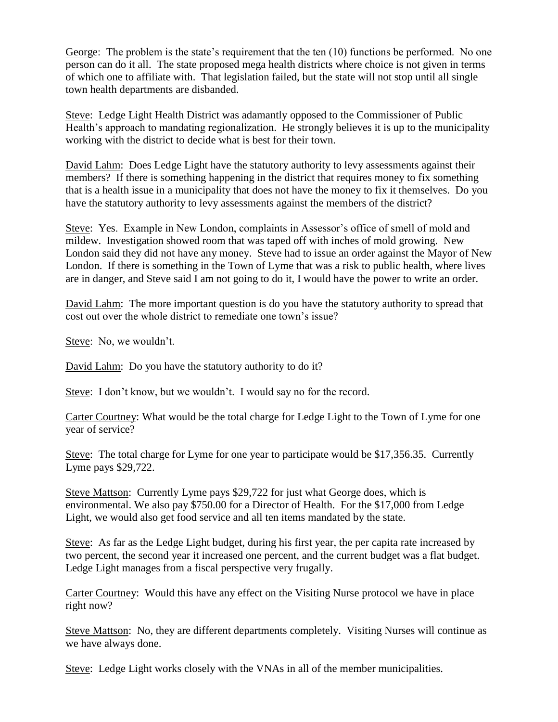George: The problem is the state's requirement that the ten (10) functions be performed. No one person can do it all. The state proposed mega health districts where choice is not given in terms of which one to affiliate with. That legislation failed, but the state will not stop until all single town health departments are disbanded.

Steve: Ledge Light Health District was adamantly opposed to the Commissioner of Public Health's approach to mandating regionalization. He strongly believes it is up to the municipality working with the district to decide what is best for their town.

David Lahm: Does Ledge Light have the statutory authority to levy assessments against their members? If there is something happening in the district that requires money to fix something that is a health issue in a municipality that does not have the money to fix it themselves. Do you have the statutory authority to levy assessments against the members of the district?

Steve: Yes. Example in New London, complaints in Assessor's office of smell of mold and mildew. Investigation showed room that was taped off with inches of mold growing. New London said they did not have any money. Steve had to issue an order against the Mayor of New London. If there is something in the Town of Lyme that was a risk to public health, where lives are in danger, and Steve said I am not going to do it, I would have the power to write an order.

David Lahm: The more important question is do you have the statutory authority to spread that cost out over the whole district to remediate one town's issue?

Steve: No, we wouldn't.

David Lahm: Do you have the statutory authority to do it?

Steve: I don't know, but we wouldn't. I would say no for the record.

Carter Courtney: What would be the total charge for Ledge Light to the Town of Lyme for one year of service?

Steve: The total charge for Lyme for one year to participate would be \$17,356.35. Currently Lyme pays \$29,722.

Steve Mattson: Currently Lyme pays \$29,722 for just what George does, which is environmental. We also pay \$750.00 for a Director of Health. For the \$17,000 from Ledge Light, we would also get food service and all ten items mandated by the state.

Steve: As far as the Ledge Light budget, during his first year, the per capita rate increased by two percent, the second year it increased one percent, and the current budget was a flat budget. Ledge Light manages from a fiscal perspective very frugally.

Carter Courtney: Would this have any effect on the Visiting Nurse protocol we have in place right now?

Steve Mattson: No, they are different departments completely. Visiting Nurses will continue as we have always done.

Steve: Ledge Light works closely with the VNAs in all of the member municipalities.